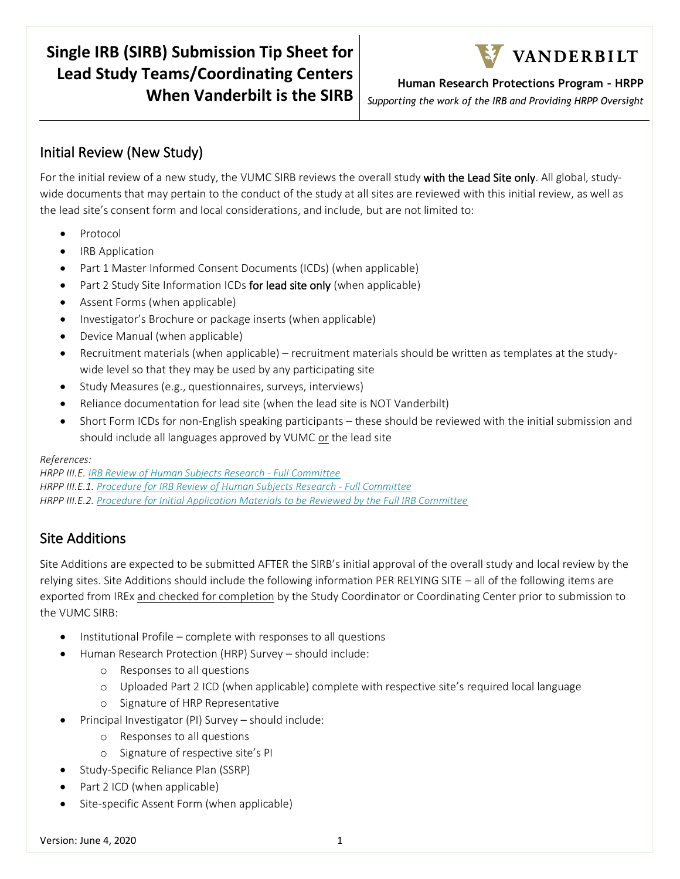# **Single IRB (SIRB) Submission Tip Sheet for Lead Study Teams/Coordinating Centers When Vanderbilt is the SIRB**



**Human Research Protections Program – HRPP**

*Supporting the work of the IRB and Providing HRPP Oversight*

## Initial Review (New Study)

For the initial review of a new study, the VUMC SIRB reviews the overall study with the Lead Site only. All global, studywide documents that may pertain to the conduct of the study at all sites are reviewed with this initial review, as well as the lead site's consent form and local considerations, and include, but are not limited to:

- Protocol
- IRB Application
- Part 1 Master Informed Consent Documents (ICDs) (when applicable)
- Part 2 Study Site Information ICDs for lead site only (when applicable)
- Assent Forms (when applicable)
- Investigator's Brochure or package inserts (when applicable)
- Device Manual (when applicable)
- Recruitment materials (when applicable) recruitment materials should be written as templates at the studywide level so that they may be used by any participating site
- Study Measures (e.g., questionnaires, surveys, interviews)
- Reliance documentation for lead site (when the lead site is NOT Vanderbilt)
- Short Form ICDs for non-English speaking participants these should be reviewed with the initial submission and should include all languages approved by VUMC or the lead site

#### *References:*

*HRPP III.E[. IRB Review of Human Subjects Research -](https://vanderbilt.policytech.com/docview/?docid=10526&public=true) Full Committee HRPP III.E.1. Procedure for IRB Review [of Human Subjects Research -](https://vanderbilt.policytech.com/docview/?docid=6465&public=true) Full Committee HRPP III.E.2. [Procedure for Initial Application Materials to be Reviewed by the Full IRB Committee](https://vanderbilt.policytech.com/docview/?docid=6466&public=true)*

### Site Additions

Site Additions are expected to be submitted AFTER the SIRB's initial approval of the overall study and local review by the relying sites. Site Additions should include the following information PER RELYING SITE – all of the following items are exported from IREx and checked for completion by the Study Coordinator or Coordinating Center prior to submission to the VUMC SIRB:

- Institutional Profile complete with responses to all questions
- Human Research Protection (HRP) Survey should include:
	- o Responses to all questions
	- o Uploaded Part 2 ICD (when applicable) complete with respective site's required local language
	- o Signature of HRP Representative
- Principal Investigator (PI) Survey should include:
	- o Responses to all questions
	- o Signature of respective site's PI
- Study-Specific Reliance Plan (SSRP)
- Part 2 ICD (when applicable)
- Site-specific Assent Form (when applicable)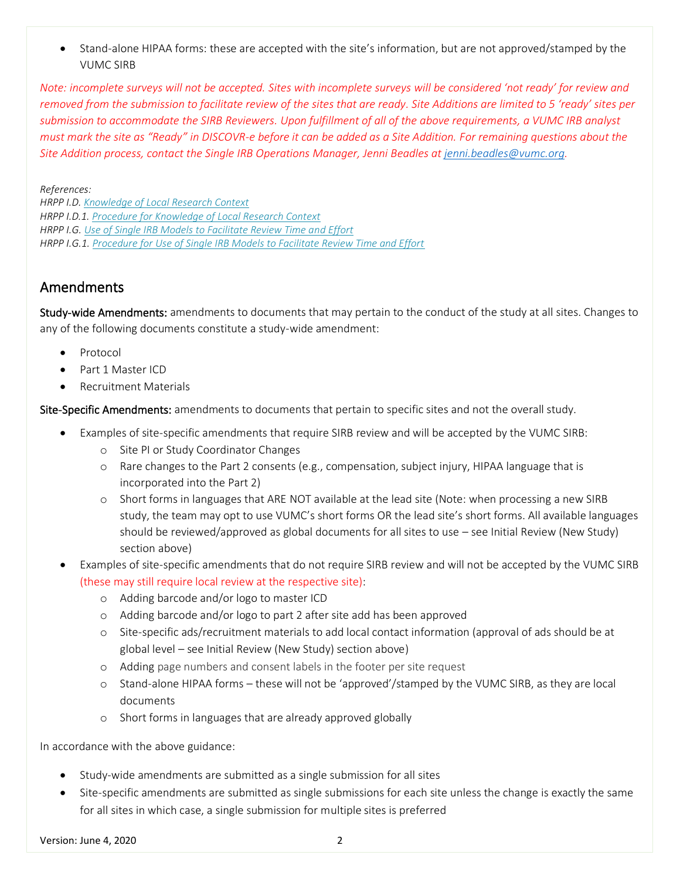• Stand-alone HIPAA forms: these are accepted with the site's information, but are not approved/stamped by the VUMC SIRB

*Note: incomplete surveys will not be accepted. Sites with incomplete surveys will be considered 'not ready' for review and removed from the submission to facilitate review of the sites that are ready. Site Additions are limited to 5 'ready' sites per submission to accommodate the SIRB Reviewers. Upon fulfillment of all of the above requirements, a VUMC IRB analyst must mark the site as "Ready" in DISCOVR-e before it can be added as a Site Addition. For remaining questions about the Site Addition process, contact the Single IRB Operations Manager, Jenni Beadles at [jenni.beadles@vumc.org.](mailto:jenni.beadles@vumc.org)* 

*References:*

*HRPP I.D. [Knowledge of Local Research Context](https://vanderbilt.policytech.com/docview/?docid=8843&public=true) HRPP I.D.1. [Procedure for Knowledge of Local Research Context](https://vanderbilt.policytech.com/docview/?docid=8844&public=true) HRPP I.G. [Use of Single IRB Models to Facilitate Review Time and Effort](https://vanderbilt.policytech.com/docview/?docid=14056&public=true) HRPP I.G.1. [Procedure for Use of Single IRB Models to Facilitate Review Time and Effort](https://vanderbilt.policytech.com/docview/?docid=14295&public=true)*

### Amendments

Study-wide Amendments: amendments to documents that may pertain to the conduct of the study at all sites. Changes to any of the following documents constitute a study-wide amendment:

- Protocol
- Part 1 Master ICD
- Recruitment Materials

Site-Specific Amendments: amendments to documents that pertain to specific sites and not the overall study.

- Examples of site-specific amendments that require SIRB review and will be accepted by the VUMC SIRB:
	- o Site PI or Study Coordinator Changes
	- o Rare changes to the Part 2 consents (e.g., compensation, subject injury, HIPAA language that is incorporated into the Part 2)
	- o Short forms in languages that ARE NOT available at the lead site (Note: when processing a new SIRB study, the team may opt to use VUMC's short forms OR the lead site's short forms. All available languages should be reviewed/approved as global documents for all sites to use – see Initial Review (New Study) section above)
- Examples of site-specific amendments that do not require SIRB review and will not be accepted by the VUMC SIRB (these may still require local review at the respective site):
	- o Adding barcode and/or logo to master ICD
	- o Adding barcode and/or logo to part 2 after site add has been approved
	- o Site-specific ads/recruitment materials to add local contact information (approval of ads should be at global level – see Initial Review (New Study) section above)
	- o Adding page numbers and consent labels in the footer per site request
	- o Stand-alone HIPAA forms these will not be 'approved'/stamped by the VUMC SIRB, as they are local documents
	- o Short forms in languages that are already approved globally

In accordance with the above guidance:

- Study-wide amendments are submitted as a single submission for all sites
- Site-specific amendments are submitted as single submissions for each site unless the change is exactly the same for all sites in which case, a single submission for multiple sites is preferred

Version: June 4, 2020 20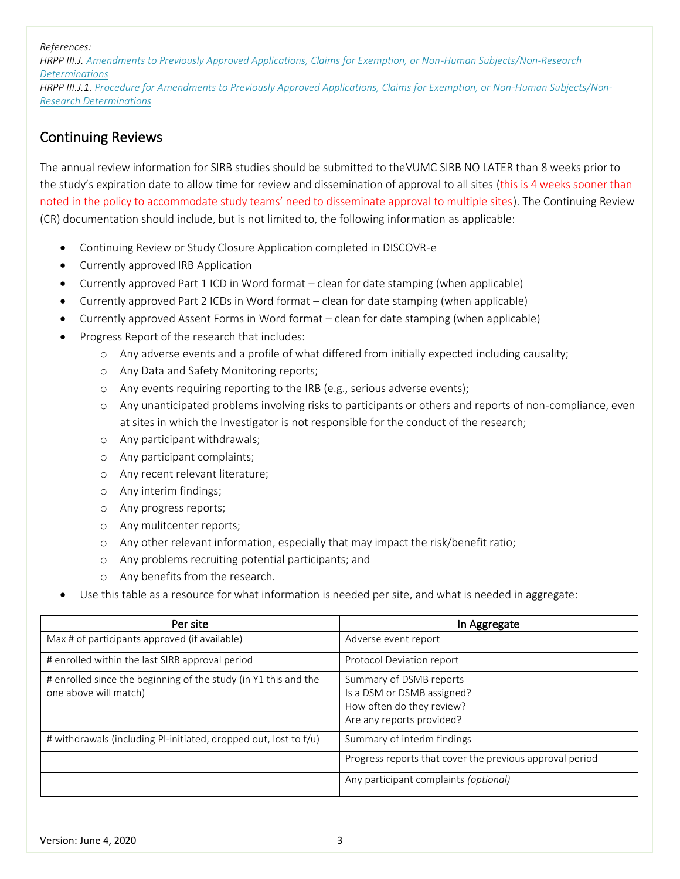*References:*

*HRPP III.J[. Amendments to Previously Approved Applications, Claims for Exemption, or Non-Human Subjects/Non-Research](https://vanderbilt.policytech.com/docview/?docid=14050&public=true)  [Determinations](https://vanderbilt.policytech.com/docview/?docid=14050&public=true)*

*HRPP III.J.1. [Procedure for Amendments to Previously Approved Applications, Claims for Exemption, or Non-Human Subjects/Non-](https://vanderbilt.policytech.com/docview/?docid=6470&public=true)[Research Determinations](https://vanderbilt.policytech.com/docview/?docid=6470&public=true)*

### Continuing Reviews

The annual review information for SIRB studies should be submitted to theVUMC SIRB NO LATER than 8 weeks prior to the study's expiration date to allow time for review and dissemination of approval to all sites (this is 4 weeks sooner than noted in the policy to accommodate study teams' need to disseminate approval to multiple sites). The Continuing Review (CR) documentation should include, but is not limited to, the following information as applicable:

- Continuing Review or Study Closure Application completed in DISCOVR-e
- Currently approved IRB Application
- Currently approved Part 1 ICD in Word format clean for date stamping (when applicable)
- Currently approved Part 2 ICDs in Word format clean for date stamping (when applicable)
- Currently approved Assent Forms in Word format clean for date stamping (when applicable)
- Progress Report of the research that includes:
	- o Any adverse events and a profile of what differed from initially expected including causality;
	- o Any Data and Safety Monitoring reports;
	- o Any events requiring reporting to the IRB (e.g., serious adverse events);
	- o Any unanticipated problems involving risks to participants or others and reports of non-compliance, even at sites in which the Investigator is not responsible for the conduct of the research;
	- o Any participant withdrawals;
	- o Any participant complaints;
	- o Any recent relevant literature;
	- o Any interim findings;
	- o Any progress reports;
	- o Any mulitcenter reports;
	- o Any other relevant information, especially that may impact the risk/benefit ratio;
	- o Any problems recruiting potential participants; and
	- o Any benefits from the research.
- Use this table as a resource for what information is needed per site, and what is needed in aggregate:

| Per site                                                                                 | In Aggregate                                                                                                    |
|------------------------------------------------------------------------------------------|-----------------------------------------------------------------------------------------------------------------|
| Max # of participants approved (if available)                                            | Adverse event report                                                                                            |
| # enrolled within the last SIRB approval period                                          | Protocol Deviation report                                                                                       |
| # enrolled since the beginning of the study (in Y1 this and the<br>one above will match) | Summary of DSMB reports<br>Is a DSM or DSMB assigned?<br>How often do they review?<br>Are any reports provided? |
| # withdrawals (including PI-initiated, dropped out, lost to f/u)                         | Summary of interim findings                                                                                     |
|                                                                                          | Progress reports that cover the previous approval period                                                        |
|                                                                                          | Any participant complaints (optional)                                                                           |